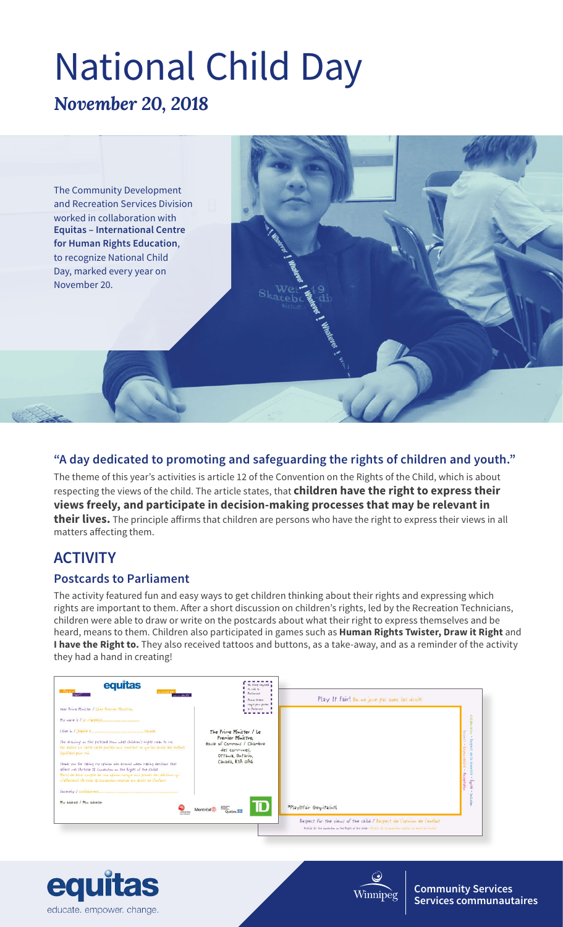# *November 20, 2018* National Child Day



#### **"A day dedicated to promoting and safeguarding the rights of children and youth."**

The theme of this year's activities is article 12 of the Convention on the Rights of the Child, which is about respecting the views of the child. The article states, that **children have the right to express their views freely, and participate in decision-making processes that may be relevant in their lives.** The principle affirms that children are persons who have the right to express their views in all matters affecting them.

## **ACTIVITY**

#### **Postcards to Parliament**

The activity featured fun and easy ways to get children thinking about their rights and expressing which rights are important to them. After a short discussion on children's rights, led by the Recreation Technicians, children were able to draw or write on the postcards about what their right to express themselves and be heard, means to them. Children also participated in games such as **Human Rights Twister, Draw it Right** and **I have the Right to.** They also received tattoos and buttons, as a take-away, and as a reminder of the activity they had a hand in creating!





**Community Services Services communautaires**